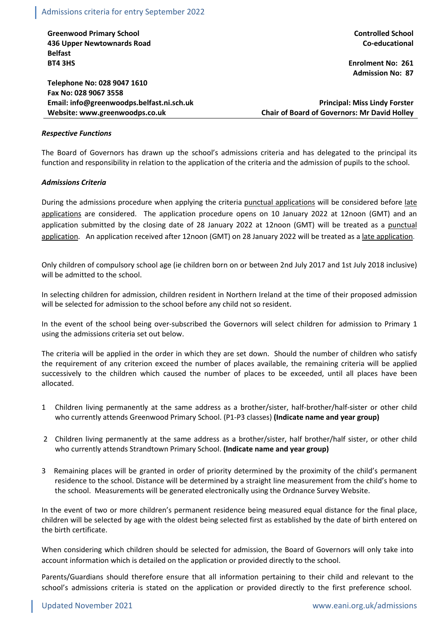**Greenwood Primary School 436 Upper Newtownards Road Belfast BT4 3HS**

**Telephone No: 028 9047 1610 Fax No: 028 9067 3558 Email: info@greenwoodps.belfast.ni.sch.uk Website: www.greenwoodps.co.uk**

**Controlled School Co-educational**

**Enrolment No: 261 Admission No: 87**

**Principal: Miss Lindy Forster Chair of Board of Governors: Mr David Holley**

#### *Respective Functions*

The Board of Governors has drawn up the school's admissions criteria and has delegated to the principal its function and responsibility in relation to the application of the criteria and the admission of pupils to the school.

#### *Admissions Criteria*

During the admissions procedure when applying the criteria punctual applications will be considered before late applications are considered. The application procedure opens on 10 January 2022 at 12noon (GMT) and an application submitted by the closing date of 28 January 2022 at 12noon (GMT) will be treated as a punctual application. An application received after 12noon (GMT) on 28 January 2022 will be treated as a late application.

Only children of compulsory school age (ie children born on or between 2nd July 2017 and 1st July 2018 inclusive) will be admitted to the school.

In selecting children for admission, children resident in Northern Ireland at the time of their proposed admission will be selected for admission to the school before any child not so resident.

In the event of the school being over-subscribed the Governors will select children for admission to Primary 1 using the admissions criteria set out below.

The criteria will be applied in the order in which they are set down. Should the number of children who satisfy the requirement of any criterion exceed the number of places available, the remaining criteria will be applied successively to the children which caused the number of places to be exceeded, until all places have been allocated.

- 1 Children living permanently at the same address as a brother/sister, half-brother/half-sister or other child who currently attends Greenwood Primary School. (P1-P3 classes) **(Indicate name and year group)**
- 2 Children living permanently at the same address as a brother/sister, half brother/half sister, or other child who currently attends Strandtown Primary School. **(Indicate name and year group)**
- 3 Remaining places will be granted in order of priority determined by the proximity of the child's permanent residence to the school. Distance will be determined by a straight line measurement from the child's home to the school. Measurements will be generated electronically using the Ordnance Survey Website.

In the event of two or more children's permanent residence being measured equal distance for the final place, children will be selected by age with the oldest being selected first as established by the date of birth entered on the birth certificate.

When considering which children should be selected for admission, the Board of Governors will only take into account information which is detailed on the application or provided directly to the school.

Parents/Guardians should therefore ensure that all information pertaining to their child and relevant to the school's admissions criteria is stated on the application or provided directly to the first preference school.